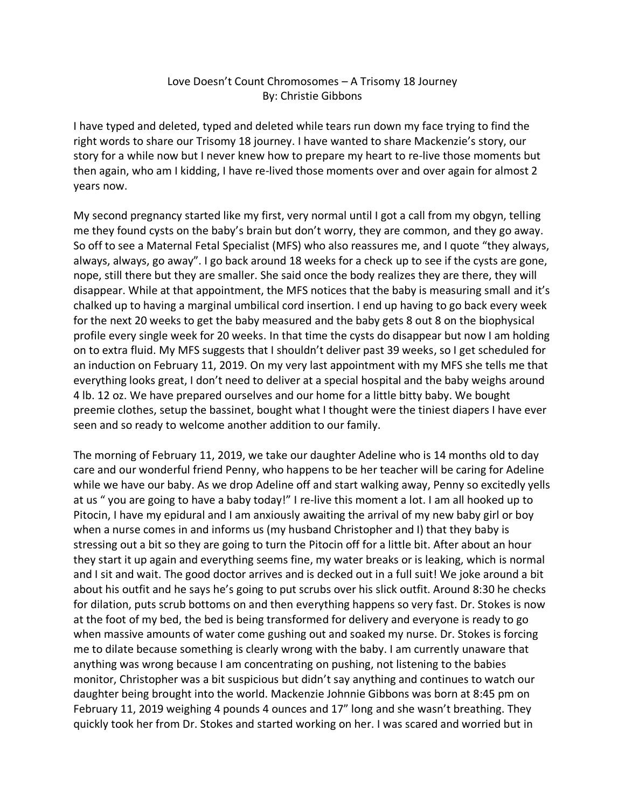## Love Doesn't Count Chromosomes – A Trisomy 18 Journey By: Christie Gibbons

I have typed and deleted, typed and deleted while tears run down my face trying to find the right words to share our Trisomy 18 journey. I have wanted to share Mackenzie's story, our story for a while now but I never knew how to prepare my heart to re-live those moments but then again, who am I kidding, I have re-lived those moments over and over again for almost 2 years now.

My second pregnancy started like my first, very normal until I got a call from my obgyn, telling me they found cysts on the baby's brain but don't worry, they are common, and they go away. So off to see a Maternal Fetal Specialist (MFS) who also reassures me, and I quote "they always, always, always, go away". I go back around 18 weeks for a check up to see if the cysts are gone, nope, still there but they are smaller. She said once the body realizes they are there, they will disappear. While at that appointment, the MFS notices that the baby is measuring small and it's chalked up to having a marginal umbilical cord insertion. I end up having to go back every week for the next 20 weeks to get the baby measured and the baby gets 8 out 8 on the biophysical profile every single week for 20 weeks. In that time the cysts do disappear but now I am holding on to extra fluid. My MFS suggests that I shouldn't deliver past 39 weeks, so I get scheduled for an induction on February 11, 2019. On my very last appointment with my MFS she tells me that everything looks great, I don't need to deliver at a special hospital and the baby weighs around 4 lb. 12 oz. We have prepared ourselves and our home for a little bitty baby. We bought preemie clothes, setup the bassinet, bought what I thought were the tiniest diapers I have ever seen and so ready to welcome another addition to our family.

The morning of February 11, 2019, we take our daughter Adeline who is 14 months old to day care and our wonderful friend Penny, who happens to be her teacher will be caring for Adeline while we have our baby. As we drop Adeline off and start walking away, Penny so excitedly yells at us " you are going to have a baby today!" I re-live this moment a lot. I am all hooked up to Pitocin, I have my epidural and I am anxiously awaiting the arrival of my new baby girl or boy when a nurse comes in and informs us (my husband Christopher and I) that they baby is stressing out a bit so they are going to turn the Pitocin off for a little bit. After about an hour they start it up again and everything seems fine, my water breaks or is leaking, which is normal and I sit and wait. The good doctor arrives and is decked out in a full suit! We joke around a bit about his outfit and he says he's going to put scrubs over his slick outfit. Around 8:30 he checks for dilation, puts scrub bottoms on and then everything happens so very fast. Dr. Stokes is now at the foot of my bed, the bed is being transformed for delivery and everyone is ready to go when massive amounts of water come gushing out and soaked my nurse. Dr. Stokes is forcing me to dilate because something is clearly wrong with the baby. I am currently unaware that anything was wrong because I am concentrating on pushing, not listening to the babies monitor, Christopher was a bit suspicious but didn't say anything and continues to watch our daughter being brought into the world. Mackenzie Johnnie Gibbons was born at 8:45 pm on February 11, 2019 weighing 4 pounds 4 ounces and 17" long and she wasn't breathing. They quickly took her from Dr. Stokes and started working on her. I was scared and worried but in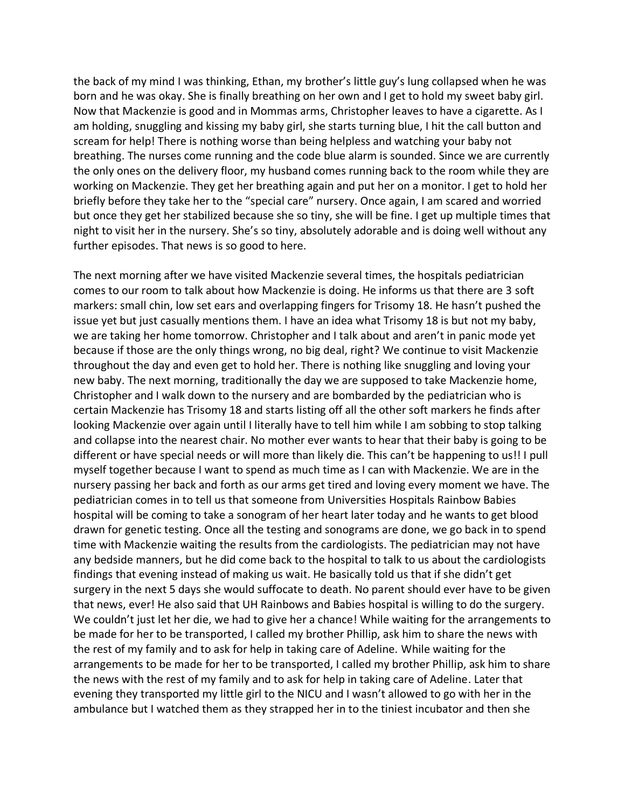the back of my mind I was thinking, Ethan, my brother's little guy's lung collapsed when he was born and he was okay. She is finally breathing on her own and I get to hold my sweet baby girl. Now that Mackenzie is good and in Mommas arms, Christopher leaves to have a cigarette. As I am holding, snuggling and kissing my baby girl, she starts turning blue, I hit the call button and scream for help! There is nothing worse than being helpless and watching your baby not breathing. The nurses come running and the code blue alarm is sounded. Since we are currently the only ones on the delivery floor, my husband comes running back to the room while they are working on Mackenzie. They get her breathing again and put her on a monitor. I get to hold her briefly before they take her to the "special care" nursery. Once again, I am scared and worried but once they get her stabilized because she so tiny, she will be fine. I get up multiple times that night to visit her in the nursery. She's so tiny, absolutely adorable and is doing well without any further episodes. That news is so good to here.

The next morning after we have visited Mackenzie several times, the hospitals pediatrician comes to our room to talk about how Mackenzie is doing. He informs us that there are 3 soft markers: small chin, low set ears and overlapping fingers for Trisomy 18. He hasn't pushed the issue yet but just casually mentions them. I have an idea what Trisomy 18 is but not my baby, we are taking her home tomorrow. Christopher and I talk about and aren't in panic mode yet because if those are the only things wrong, no big deal, right? We continue to visit Mackenzie throughout the day and even get to hold her. There is nothing like snuggling and loving your new baby. The next morning, traditionally the day we are supposed to take Mackenzie home, Christopher and I walk down to the nursery and are bombarded by the pediatrician who is certain Mackenzie has Trisomy 18 and starts listing off all the other soft markers he finds after looking Mackenzie over again until I literally have to tell him while I am sobbing to stop talking and collapse into the nearest chair. No mother ever wants to hear that their baby is going to be different or have special needs or will more than likely die. This can't be happening to us!! I pull myself together because I want to spend as much time as I can with Mackenzie. We are in the nursery passing her back and forth as our arms get tired and loving every moment we have. The pediatrician comes in to tell us that someone from Universities Hospitals Rainbow Babies hospital will be coming to take a sonogram of her heart later today and he wants to get blood drawn for genetic testing. Once all the testing and sonograms are done, we go back in to spend time with Mackenzie waiting the results from the cardiologists. The pediatrician may not have any bedside manners, but he did come back to the hospital to talk to us about the cardiologists findings that evening instead of making us wait. He basically told us that if she didn't get surgery in the next 5 days she would suffocate to death. No parent should ever have to be given that news, ever! He also said that UH Rainbows and Babies hospital is willing to do the surgery. We couldn't just let her die, we had to give her a chance! While waiting for the arrangements to be made for her to be transported, I called my brother Phillip, ask him to share the news with the rest of my family and to ask for help in taking care of Adeline. While waiting for the arrangements to be made for her to be transported, I called my brother Phillip, ask him to share the news with the rest of my family and to ask for help in taking care of Adeline. Later that evening they transported my little girl to the NICU and I wasn't allowed to go with her in the ambulance but I watched them as they strapped her in to the tiniest incubator and then she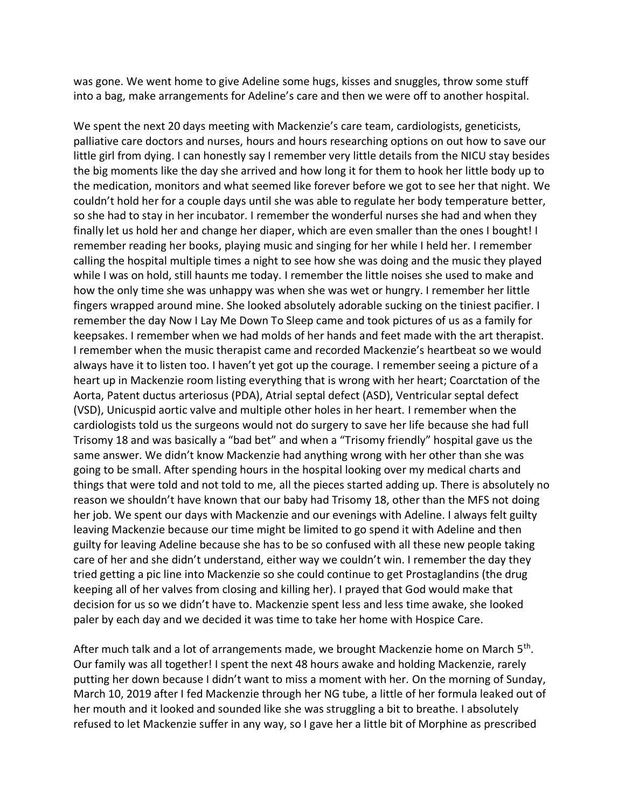was gone. We went home to give Adeline some hugs, kisses and snuggles, throw some stuff into a bag, make arrangements for Adeline's care and then we were off to another hospital.

We spent the next 20 days meeting with Mackenzie's care team, cardiologists, geneticists, palliative care doctors and nurses, hours and hours researching options on out how to save our little girl from dying. I can honestly say I remember very little details from the NICU stay besides the big moments like the day she arrived and how long it for them to hook her little body up to the medication, monitors and what seemed like forever before we got to see her that night. We couldn't hold her for a couple days until she was able to regulate her body temperature better, so she had to stay in her incubator. I remember the wonderful nurses she had and when they finally let us hold her and change her diaper, which are even smaller than the ones I bought! I remember reading her books, playing music and singing for her while I held her. I remember calling the hospital multiple times a night to see how she was doing and the music they played while I was on hold, still haunts me today. I remember the little noises she used to make and how the only time she was unhappy was when she was wet or hungry. I remember her little fingers wrapped around mine. She looked absolutely adorable sucking on the tiniest pacifier. I remember the day Now I Lay Me Down To Sleep came and took pictures of us as a family for keepsakes. I remember when we had molds of her hands and feet made with the art therapist. I remember when the music therapist came and recorded Mackenzie's heartbeat so we would always have it to listen too. I haven't yet got up the courage. I remember seeing a picture of a heart up in Mackenzie room listing everything that is wrong with her heart; Coarctation of the Aorta, Patent ductus arteriosus (PDA), Atrial septal defect (ASD), Ventricular septal defect (VSD), Unicuspid aortic valve and multiple other holes in her heart. I remember when the cardiologists told us the surgeons would not do surgery to save her life because she had full Trisomy 18 and was basically a "bad bet" and when a "Trisomy friendly" hospital gave us the same answer. We didn't know Mackenzie had anything wrong with her other than she was going to be small. After spending hours in the hospital looking over my medical charts and things that were told and not told to me, all the pieces started adding up. There is absolutely no reason we shouldn't have known that our baby had Trisomy 18, other than the MFS not doing her job. We spent our days with Mackenzie and our evenings with Adeline. I always felt guilty leaving Mackenzie because our time might be limited to go spend it with Adeline and then guilty for leaving Adeline because she has to be so confused with all these new people taking care of her and she didn't understand, either way we couldn't win. I remember the day they tried getting a pic line into Mackenzie so she could continue to get Prostaglandins (the drug keeping all of her valves from closing and killing her). I prayed that God would make that decision for us so we didn't have to. Mackenzie spent less and less time awake, she looked paler by each day and we decided it was time to take her home with Hospice Care.

After much talk and a lot of arrangements made, we brought Mackenzie home on March 5<sup>th</sup>. Our family was all together! I spent the next 48 hours awake and holding Mackenzie, rarely putting her down because I didn't want to miss a moment with her. On the morning of Sunday, March 10, 2019 after I fed Mackenzie through her NG tube, a little of her formula leaked out of her mouth and it looked and sounded like she was struggling a bit to breathe. I absolutely refused to let Mackenzie suffer in any way, so I gave her a little bit of Morphine as prescribed